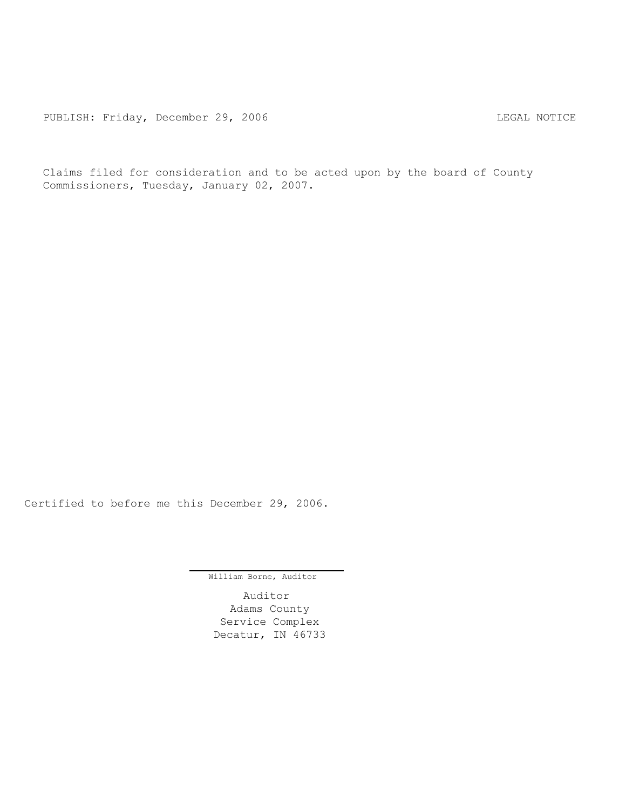Claims filed for consideration and to be acted upon by the board of County Commissioners, Tuesday, January 02, 2007.

Certified to before me this December 29, 2006.

William Borne, Auditor

Auditor Adams County Service Complex Decatur, IN 46733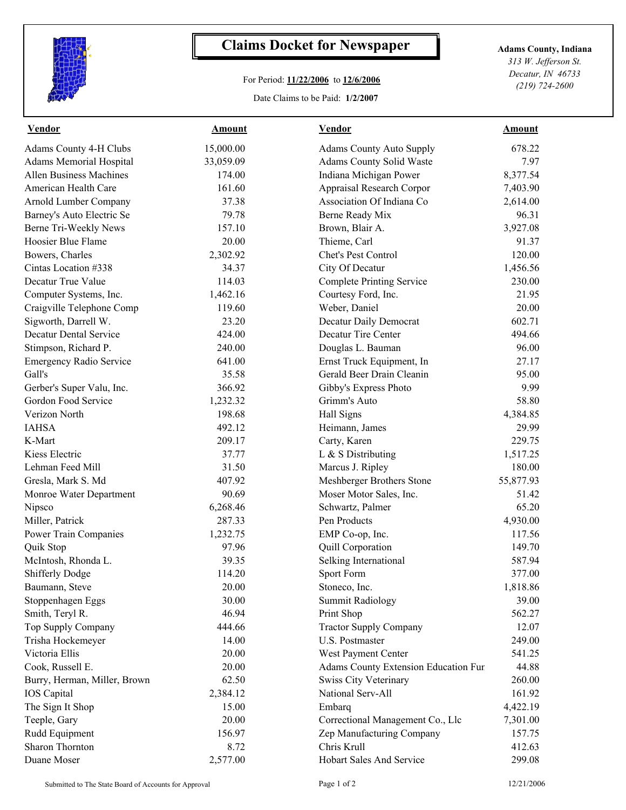

## **Claims Docket for Newspaper Adams County, Indiana**

## For Period: **11/22/2006** to **12/6/2006**

Date Claims to be Paid: **1/2/2007**

*313 W. Jefferson St. Decatur, IN 46733 (219) 724-2600*

| <b>Vendor</b>                  | <b>Amount</b> | <b>Vendor</b>                        | <b>Amount</b> |
|--------------------------------|---------------|--------------------------------------|---------------|
| Adams County 4-H Clubs         | 15,000.00     | <b>Adams County Auto Supply</b>      | 678.22        |
| Adams Memorial Hospital        | 33,059.09     | Adams County Solid Waste             | 7.97          |
| <b>Allen Business Machines</b> | 174.00        | Indiana Michigan Power               | 8,377.54      |
| American Health Care           | 161.60        | Appraisal Research Corpor            | 7,403.90      |
| Arnold Lumber Company          | 37.38         | Association Of Indiana Co            | 2,614.00      |
| Barney's Auto Electric Se      | 79.78         | Berne Ready Mix                      | 96.31         |
| Berne Tri-Weekly News          | 157.10        | Brown, Blair A.                      | 3,927.08      |
| Hoosier Blue Flame             | 20.00         | Thieme, Carl                         | 91.37         |
| Bowers, Charles                | 2,302.92      | Chet's Pest Control                  | 120.00        |
| Cintas Location #338           | 34.37         | City Of Decatur                      | 1,456.56      |
| Decatur True Value             | 114.03        | <b>Complete Printing Service</b>     | 230.00        |
| Computer Systems, Inc.         | 1,462.16      | Courtesy Ford, Inc.                  | 21.95         |
| Craigville Telephone Comp      | 119.60        | Weber, Daniel                        | 20.00         |
| Sigworth, Darrell W.           | 23.20         | Decatur Daily Democrat               | 602.71        |
| <b>Decatur Dental Service</b>  | 424.00        | Decatur Tire Center                  | 494.66        |
| Stimpson, Richard P.           | 240.00        | Douglas L. Bauman                    | 96.00         |
| <b>Emergency Radio Service</b> | 641.00        | Ernst Truck Equipment, In            | 27.17         |
| Gall's                         | 35.58         | Gerald Beer Drain Cleanin            | 95.00         |
| Gerber's Super Valu, Inc.      | 366.92        | Gibby's Express Photo                | 9.99          |
| Gordon Food Service            | 1,232.32      | Grimm's Auto                         | 58.80         |
| Verizon North                  | 198.68        | Hall Signs                           | 4,384.85      |
| <b>IAHSA</b>                   | 492.12        | Heimann, James                       | 29.99         |
| K-Mart                         | 209.17        | Carty, Karen                         | 229.75        |
| Kiess Electric                 | 37.77         | L & S Distributing                   | 1,517.25      |
| Lehman Feed Mill               | 31.50         | Marcus J. Ripley                     | 180.00        |
| Gresla, Mark S. Md             | 407.92        | Meshberger Brothers Stone            | 55,877.93     |
| Monroe Water Department        | 90.69         | Moser Motor Sales, Inc.              | 51.42         |
| Nipsco                         | 6,268.46      | Schwartz, Palmer                     | 65.20         |
| Miller, Patrick                | 287.33        | Pen Products                         | 4,930.00      |
| Power Train Companies          | 1,232.75      | EMP Co-op, Inc.                      | 117.56        |
| Quik Stop                      | 97.96         | Quill Corporation                    | 149.70        |
| McIntosh, Rhonda L.            | 39.35         | Selking International                | 587.94        |
| Shifferly Dodge                | 114.20        | Sport Form                           | 377.00        |
| Baumann, Steve                 | 20.00         | Stoneco, Inc.                        | 1,818.86      |
| Stoppenhagen Eggs              | 30.00         | <b>Summit Radiology</b>              | 39.00         |
| Smith, Teryl R.                | 46.94         | Print Shop                           | 562.27        |
| Top Supply Company             | 444.66        | <b>Tractor Supply Company</b>        | 12.07         |
| Trisha Hockemeyer              | 14.00         | <b>U.S. Postmaster</b>               | 249.00        |
| Victoria Ellis                 | 20.00         | West Payment Center                  | 541.25        |
| Cook, Russell E.               | 20.00         | Adams County Extension Education Fur | 44.88         |
| Burry, Herman, Miller, Brown   | 62.50         | Swiss City Veterinary                | 260.00        |
| <b>IOS</b> Capital             | 2,384.12      | National Serv-All                    | 161.92        |
| The Sign It Shop               | 15.00         | Embarq                               | 4,422.19      |
| Teeple, Gary                   | 20.00         | Correctional Management Co., Llc     | 7,301.00      |
| Rudd Equipment                 | 156.97        | Zep Manufacturing Company            | 157.75        |
| Sharon Thornton                | 8.72          | Chris Krull                          | 412.63        |
| Duane Moser                    | 2,577.00      | Hobart Sales And Service             | 299.08        |